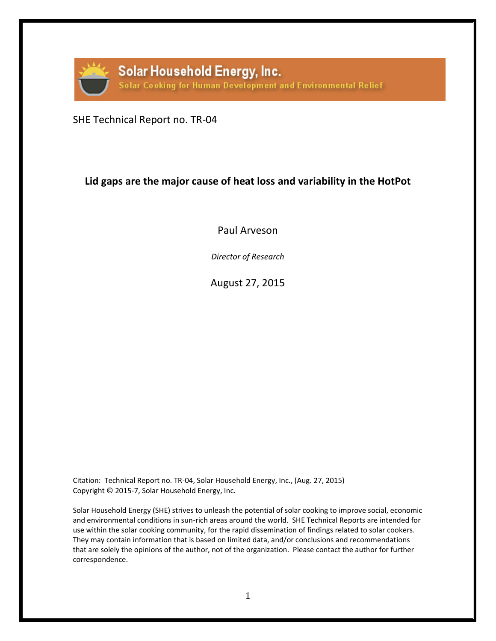

SHE Technical Report no. TR-04

# **Lid gaps are the major cause of heat loss and variability in the HotPot**

Paul Arveson

*Director of Research*

August 27, 2015

Citation: Technical Report no. TR-04, Solar Household Energy, Inc., (Aug. 27, 2015) Copyright © 2015-7, Solar Household Energy, Inc.

Solar Household Energy (SHE) strives to unleash the potential of solar cooking to improve social, economic and environmental conditions in sun-rich areas around the world. SHE Technical Reports are intended for use within the solar cooking community, for the rapid dissemination of findings related to solar cookers. They may contain information that is based on limited data, and/or conclusions and recommendations that are solely the opinions of the author, not of the organization. Please contact the author for further correspondence.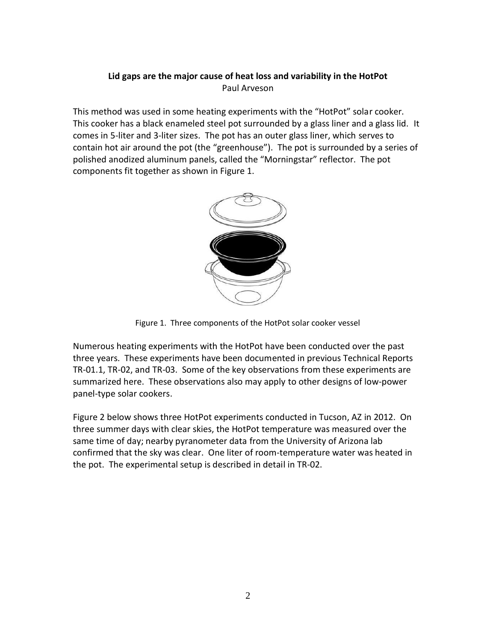## **Lid gaps are the major cause of heat loss and variability in the HotPot** Paul Arveson

This method was used in some heating experiments with the "HotPot" solar cooker. This cooker has a black enameled steel pot surrounded by a glass liner and a glass lid. It comes in 5-liter and 3-liter sizes. The pot has an outer glass liner, which serves to contain hot air around the pot (the "greenhouse"). The pot is surrounded by a series of polished anodized aluminum panels, called the "Morningstar" reflector. The pot components fit together as shown in Figure 1.



Figure 1. Three components of the HotPot solar cooker vessel

Numerous heating experiments with the HotPot have been conducted over the past three years. These experiments have been documented in previous Technical Reports TR-01.1, TR-02, and TR-03. Some of the key observations from these experiments are summarized here. These observations also may apply to other designs of low-power panel-type solar cookers.

Figure 2 below shows three HotPot experiments conducted in Tucson, AZ in 2012. On three summer days with clear skies, the HotPot temperature was measured over the same time of day; nearby pyranometer data from the University of Arizona lab confirmed that the sky was clear. One liter of room-temperature water was heated in the pot. The experimental setup is described in detail in TR-02.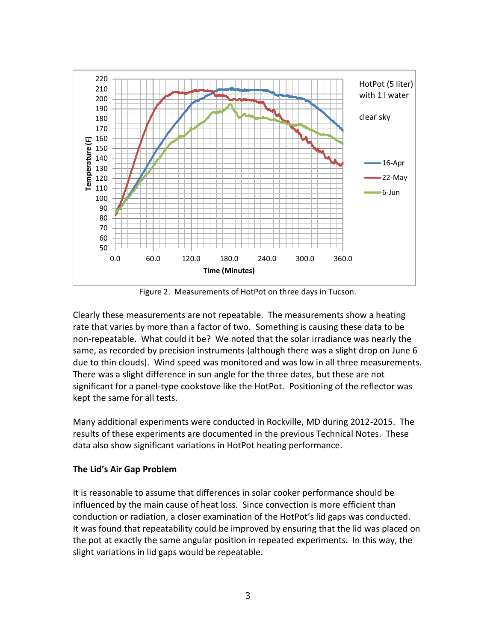

Figure 2. Measurements of HotPot on three days in Tucson.

Clearly these measurements are not repeatable. The measurements show a heating rate that varies by more than a factor of two. Something is causing these data to be non-repeatable. What could it be? We noted that the solar irradiance was nearly the same, as recorded by precision instruments (although there was a slight drop on June 6 due to thin clouds). Wind speed was monitored and was low in all three measurements. There was a slight difference in sun angle for the three dates, but these are not significant for a panel-type cookstove like the HotPot. Positioning of the reflector was kept the same for all tests.

Many additional experiments were conducted in Rockville, MD during 2012-2015. The results of these experiments are documented in the previous Technical Notes. These data also show significant variations in HotPot heating performance.

#### **The Lid's Air Gap Problem**

It is reasonable to assume that differences in solar cooker performance should be influenced by the main cause of heat loss. Since convection is more efficient than conduction or radiation, a closer examination of the HotPot's lid gaps was conducted. It was found that repeatability could be improved by ensuring that the lid was placed on the pot at exactly the same angular position in repeated experiments. In this way, the slight variations in lid gaps would be repeatable.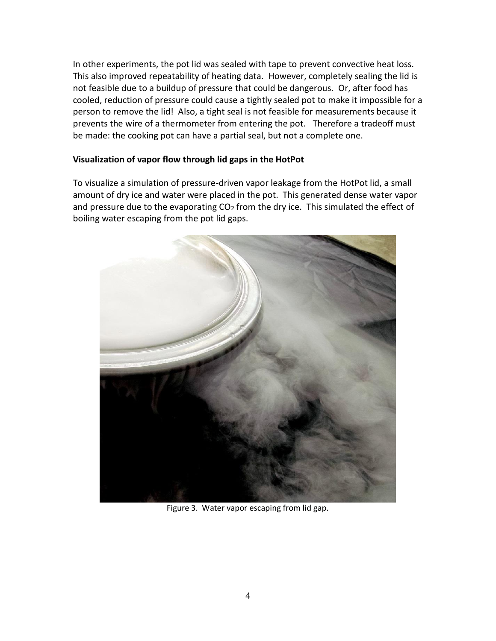In other experiments, the pot lid was sealed with tape to prevent convective heat loss. This also improved repeatability of heating data. However, completely sealing the lid is not feasible due to a buildup of pressure that could be dangerous. Or, after food has cooled, reduction of pressure could cause a tightly sealed pot to make it impossible for a person to remove the lid! Also, a tight seal is not feasible for measurements because it prevents the wire of a thermometer from entering the pot. Therefore a tradeoff must be made: the cooking pot can have a partial seal, but not a complete one.

#### **Visualization of vapor flow through lid gaps in the HotPot**

To visualize a simulation of pressure-driven vapor leakage from the HotPot lid, a small amount of dry ice and water were placed in the pot. This generated dense water vapor and pressure due to the evaporating  $CO<sub>2</sub>$  from the dry ice. This simulated the effect of boiling water escaping from the pot lid gaps.



Figure 3. Water vapor escaping from lid gap.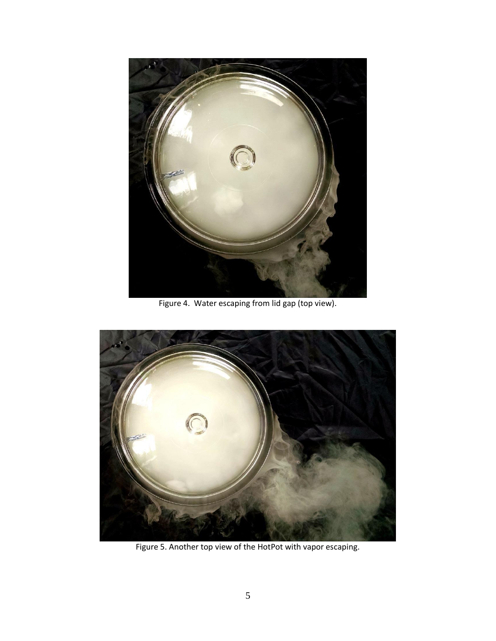

Figure 4. Water escaping from lid gap (top view).



Figure 5. Another top view of the HotPot with vapor escaping.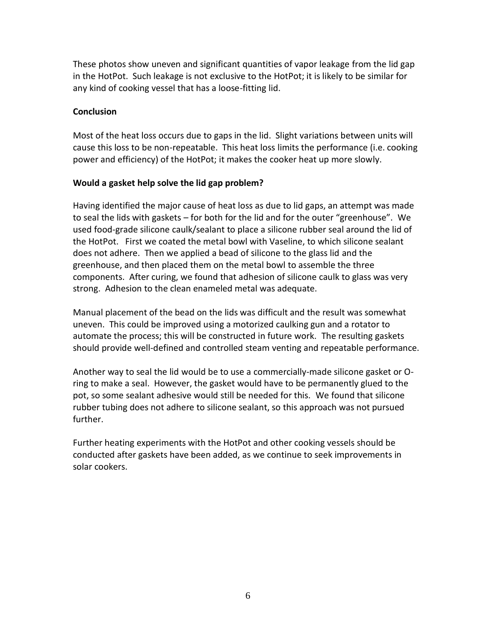These photos show uneven and significant quantities of vapor leakage from the lid gap in the HotPot. Such leakage is not exclusive to the HotPot; it is likely to be similar for any kind of cooking vessel that has a loose-fitting lid.

### **Conclusion**

Most of the heat loss occurs due to gaps in the lid. Slight variations between units will cause this loss to be non-repeatable. This heat loss limits the performance (i.e. cooking power and efficiency) of the HotPot; it makes the cooker heat up more slowly.

#### **Would a gasket help solve the lid gap problem?**

Having identified the major cause of heat loss as due to lid gaps, an attempt was made to seal the lids with gaskets – for both for the lid and for the outer "greenhouse". We used food-grade silicone caulk/sealant to place a silicone rubber seal around the lid of the HotPot. First we coated the metal bowl with Vaseline, to which silicone sealant does not adhere. Then we applied a bead of silicone to the glass lid and the greenhouse, and then placed them on the metal bowl to assemble the three components. After curing, we found that adhesion of silicone caulk to glass was very strong. Adhesion to the clean enameled metal was adequate.

Manual placement of the bead on the lids was difficult and the result was somewhat uneven. This could be improved using a motorized caulking gun and a rotator to automate the process; this will be constructed in future work. The resulting gaskets should provide well-defined and controlled steam venting and repeatable performance.

Another way to seal the lid would be to use a commercially-made silicone gasket or Oring to make a seal. However, the gasket would have to be permanently glued to the pot, so some sealant adhesive would still be needed for this. We found that silicone rubber tubing does not adhere to silicone sealant, so this approach was not pursued further.

Further heating experiments with the HotPot and other cooking vessels should be conducted after gaskets have been added, as we continue to seek improvements in solar cookers.